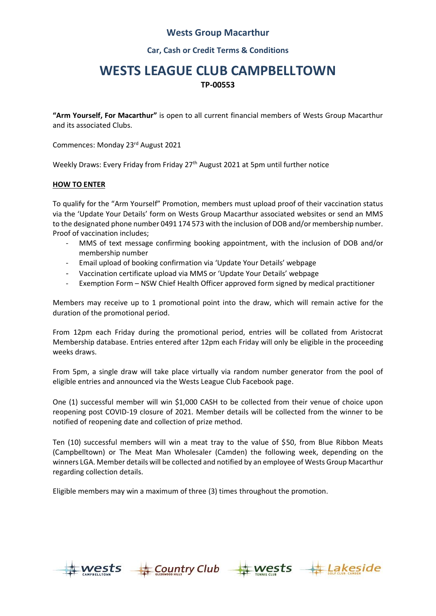### **Wests Group Macarthur**

**Car, Cash or Credit Terms & Conditions**

## **WESTS LEAGUE CLUB CAMPBELLTOWN TP-00553**

**"Arm Yourself, For Macarthur"** is open to all current financial members of Wests Group Macarthur and its associated Clubs.

Commences: Monday 23rd August 2021

Weekly Draws: Every Friday from Friday 27<sup>th</sup> August 2021 at 5pm until further notice

#### **HOW TO ENTER**

To qualify for the "Arm Yourself" Promotion, members must upload proof of their vaccination status via the 'Update Your Details' form on Wests Group Macarthur associated websites or send an MMS to the designated phone number 0491 174 573 with the inclusion of DOB and/or membership number. Proof of vaccination includes;

- MMS of text message confirming booking appointment, with the inclusion of DOB and/or membership number
- Email upload of booking confirmation via 'Update Your Details' webpage
- Vaccination certificate upload via MMS or 'Update Your Details' webpage
- Exemption Form NSW Chief Health Officer approved form signed by medical practitioner

Members may receive up to 1 promotional point into the draw, which will remain active for the duration of the promotional period.

From 12pm each Friday during the promotional period, entries will be collated from Aristocrat Membership database. Entries entered after 12pm each Friday will only be eligible in the proceeding weeks draws.

From 5pm, a single draw will take place virtually via random number generator from the pool of eligible entries and announced via the Wests League Club Facebook page.

One (1) successful member will win \$1,000 CASH to be collected from their venue of choice upon reopening post COVID-19 closure of 2021. Member details will be collected from the winner to be notified of reopening date and collection of prize method.

Ten (10) successful members will win a meat tray to the value of \$50, from Blue Ribbon Meats (Campbelltown) or The Meat Man Wholesaler (Camden) the following week, depending on the winners LGA. Member details will be collected and notified by an employee of Wests Group Macarthur regarding collection details.

Eligible members may win a maximum of three (3) times throughout the promotion.



**Country Club**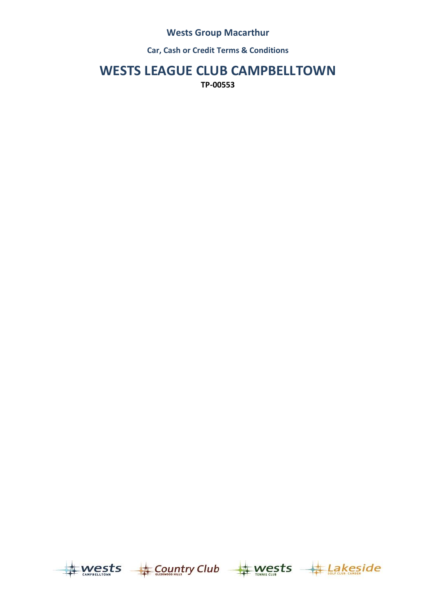## **Wests Group Macarthur**

**Car, Cash or Credit Terms & Conditions**

# **WESTS LEAGUE CLUB CAMPBELLTOWN**

**TP-00553**